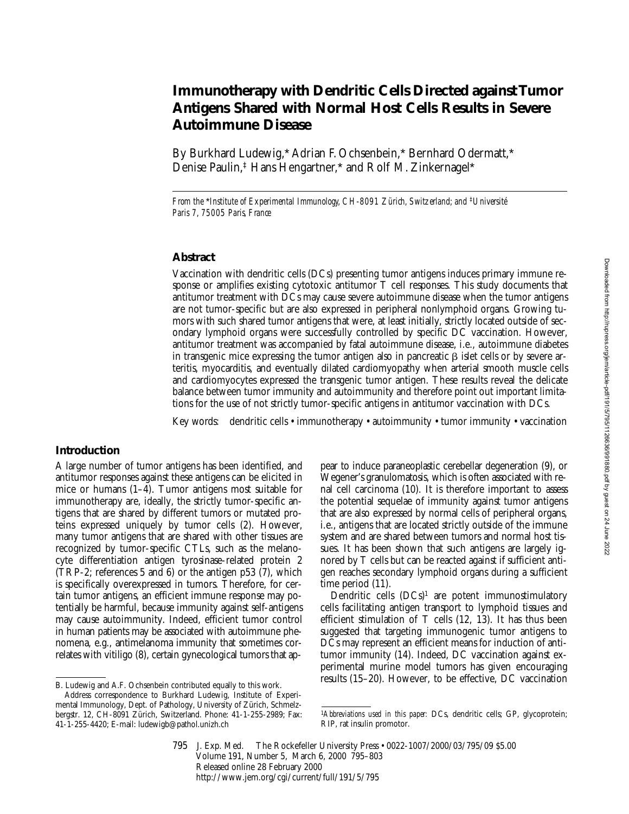# **Immunotherapy with Dendritic Cells Directed against Tumor Antigens Shared with Normal Host Cells Results in Severe Autoimmune Disease**

By Burkhard Ludewig,\* Adrian F. Ochsenbein,\* Bernhard Odermatt,\* Denise Paulin,‡ Hans Hengartner,\* and Rolf M. Zinkernagel\*

*From the* \**Institute of Experimental Immunology, CH-8091 Zürich, Switzerland; and* ‡*Université Paris 7, 75005 Paris, France*

#### **Abstract**

Vaccination with dendritic cells (DCs) presenting tumor antigens induces primary immune response or amplifies existing cytotoxic antitumor T cell responses. This study documents that antitumor treatment with DCs may cause severe autoimmune disease when the tumor antigens are not tumor-specific but are also expressed in peripheral nonlymphoid organs. Growing tumors with such shared tumor antigens that were, at least initially, strictly located outside of secondary lymphoid organs were successfully controlled by specific DC vaccination. However, antitumor treatment was accompanied by fatal autoimmune disease, i.e., autoimmune diabetes in transgenic mice expressing the tumor antigen also in pancreatic  $\beta$  islet cells or by severe arteritis, myocarditis, and eventually dilated cardiomyopathy when arterial smooth muscle cells and cardiomyocytes expressed the transgenic tumor antigen. These results reveal the delicate balance between tumor immunity and autoimmunity and therefore point out important limitations for the use of not strictly tumor-specific antigens in antitumor vaccination with DCs.

Key words: dendritic cells • immunotherapy • autoimmunity • tumor immunity • vaccination

## **Introduction**

A large number of tumor antigens has been identified, and antitumor responses against these antigens can be elicited in mice or humans (1–4). Tumor antigens most suitable for immunotherapy are, ideally, the strictly tumor-specific antigens that are shared by different tumors or mutated proteins expressed uniquely by tumor cells (2). However, many tumor antigens that are shared with other tissues are recognized by tumor-specific CTLs, such as the melanocyte differentiation antigen tyrosinase-related protein 2 (TRP-2; references 5 and 6) or the antigen p53 (7), which is specifically overexpressed in tumors. Therefore, for certain tumor antigens, an efficient immune response may potentially be harmful, because immunity against self-antigens may cause autoimmunity. Indeed, efficient tumor control in human patients may be associated with autoimmune phenomena, e.g., antimelanoma immunity that sometimes correlates with vitiligo (8), certain gynecological tumors that ap-

pear to induce paraneoplastic cerebellar degeneration (9), or Wegener's granulomatosis, which is often associated with renal cell carcinoma (10). It is therefore important to assess the potential sequelae of immunity against tumor antigens that are also expressed by normal cells of peripheral organs, i.e., antigens that are located strictly outside of the immune system and are shared between tumors and normal host tissues. It has been shown that such antigens are largely ignored by T cells but can be reacted against if sufficient antigen reaches secondary lymphoid organs during a sufficient time period (11).

Dendritic cells  $(DCs)^1$  are potent immunostimulatory cells facilitating antigen transport to lymphoid tissues and efficient stimulation of T cells (12, 13). It has thus been suggested that targeting immunogenic tumor antigens to DCs may represent an efficient means for induction of antitumor immunity (14). Indeed, DC vaccination against experimental murine model tumors has given encouraging **R**. Ludewig and A.F. Ochsenbein contributed equally to this work. The results (15–20). However, to be effective, DC vaccination

795 J. Exp. Med. The Rockefeller University Press • 0022-1007/2000/03/795/09 \$5.00 Volume 191, Number 5, March 6, 2000 795–803 Released online 28 February 2000 http://www.jem.org/cgi/current/full/191/5/795

Address correspondence to Burkhard Ludewig, Institute of Experimental Immunology, Dept. of Pathology, University of Zürich, Schmelzbergstr. 12, CH-8091 Zürich, Switzerland. Phone: 41-1-255-2989; Fax: 41-1-255-4420; E-mail: ludewigb@pathol.unizh.ch

<sup>1</sup>*Abbreviations used in this paper:* DCs, dendritic cells; GP, glycoprotein; RIP, rat insulin promotor.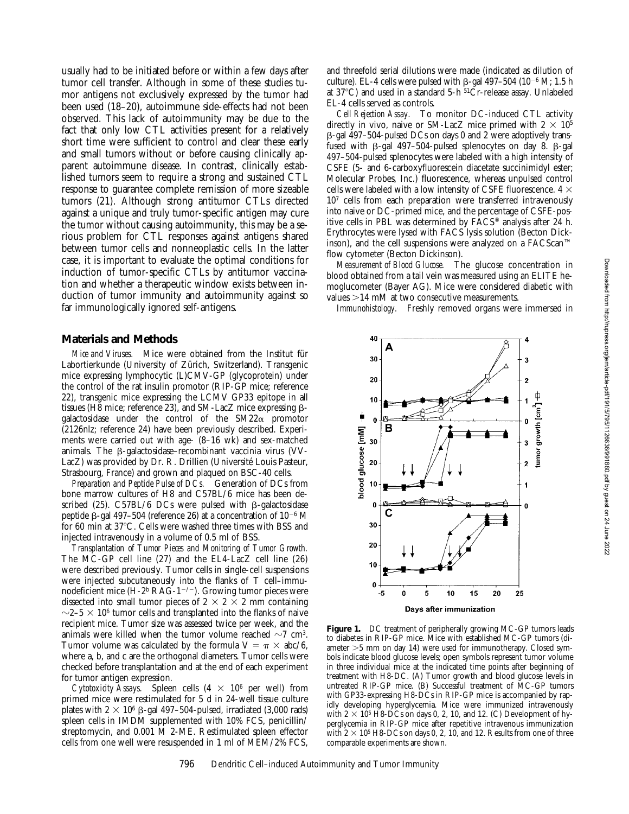usually had to be initiated before or within a few days after tumor cell transfer. Although in some of these studies tumor antigens not exclusively expressed by the tumor had been used (18–20), autoimmune side-effects had not been observed. This lack of autoimmunity may be due to the fact that only low CTL activities present for a relatively short time were sufficient to control and clear these early and small tumors without or before causing clinically apparent autoimmune disease. In contrast, clinically established tumors seem to require a strong and sustained CTL response to guarantee complete remission of more sizeable tumors (21). Although strong antitumor CTLs directed against a unique and truly tumor-specific antigen may cure the tumor without causing autoimmunity, this may be a serious problem for CTL responses against antigens shared between tumor cells and nonneoplastic cells. In the latter case, it is important to evaluate the optimal conditions for induction of tumor-specific CTLs by antitumor vaccination and whether a therapeutic window exists between induction of tumor immunity and autoimmunity against so far immunologically ignored self-antigens.

#### **Materials and Methods**

*Mice and Viruses.* Mice were obtained from the Institut für Labortierkunde (University of Zürich, Switzerland). Transgenic mice expressing lymphocytic (L)CMV-GP (glycoprotein) under the control of the rat insulin promotor (RIP-GP mice; reference 22), transgenic mice expressing the LCMV GP33 epitope in all tissues (H8 mice; reference 23), and SM-LacZ mice expressing bgalactosidase under the control of the SM22a promotor (2126nlz; reference 24) have been previously described. Experiments were carried out with age- (8–16 wk) and sex-matched animals. The  $\beta$ -galactosidase–recombinant vaccinia virus (VV-LacZ) was provided by Dr. R. Drillien (Université Louis Pasteur, Strasbourg, France) and grown and plaqued on BSC-40 cells.

*Preparation and Peptide Pulse of DCs.* Generation of DCs from bone marrow cultures of H8 and C57BL/6 mice has been described (25). C57BL/6 DCs were pulsed with  $\beta$ -galactosidase peptide  $\beta$ -gal 497–504 (reference 26) at a concentration of  $10^{-6}$  M for 60 min at 37°C. Cells were washed three times with BSS and injected intravenously in a volume of 0.5 ml of BSS.

*Transplantation of Tumor Pieces and Monitoring of Tumor Growth.* The MC-GP cell line (27) and the EL4-LacZ cell line (26) were described previously. Tumor cells in single-cell suspensions were injected subcutaneously into the flanks of T cell–immunodeficient mice  $(H-2^b RAG-1^{-/-})$ . Growing tumor pieces were dissected into small tumor pieces of  $2 \times 2 \times 2$  mm containing  $\sim$ 2–5  $\times$  10<sup>6</sup> tumor cells and transplanted into the flanks of naive recipient mice. Tumor size was assessed twice per week, and the animals were killed when the tumor volume reached  $\sim$ 7 cm<sup>3</sup>. Tumor volume was calculated by the formula  $V = \pi \times abc/6$ , where a, b, and c are the orthogonal diameters. Tumor cells were checked before transplantation and at the end of each experiment for tumor antigen expression.

*Cytotoxicity Assays.* Spleen cells  $(4 \times 10^6$  per well) from primed mice were restimulated for 5 d in 24-well tissue culture plates with  $2 \times 10^6$   $\beta$ -gal 497–504-pulsed, irradiated (3,000 rads) spleen cells in IMDM supplemented with 10% FCS, penicillin/ streptomycin, and 0.001 M 2-ME. Restimulated spleen effector cells from one well were resuspended in 1 ml of MEM/2% FCS,

and threefold serial dilutions were made (indicated as dilution of culture). EL-4 cells were pulsed with  $\beta$ -gal 497–504 (10<sup>-6</sup> M; 1.5 h at  $37^{\circ}$ C) and used in a standard 5-h  $51$ Cr-release assay. Unlabeled EL-4 cells served as controls.

*Cell Rejection Assay.* To monitor DC-induced CTL activity directly in vivo, naive or SM-LacZ mice primed with  $2 \times 10^5$ b-gal 497–504-pulsed DCs on days 0 and 2 were adoptively transfused with  $\beta$ -gal 497–504-pulsed splenocytes on day 8.  $\beta$ -gal 497–504-pulsed splenocytes were labeled with a high intensity of CSFE (5- and 6-carboxyfluorescein diacetate succinimidyl ester; Molecular Probes, Inc.) fluorescence, whereas unpulsed control cells were labeled with a low intensity of CSFE fluorescence.  $4 \times$ 10<sup>7</sup> cells from each preparation were transferred intravenously into naive or DC-primed mice, and the percentage of CSFE-positive cells in PBL was determined by FACS® analysis after 24 h. Erythrocytes were lysed with FACS lysis solution (Becton Dickinson), and the cell suspensions were analyzed on a FACScan™ flow cytometer (Becton Dickinson).

*Measurement of Blood Glucose.* The glucose concentration in blood obtained from a tail vein was measured using an ELITE hemoglucometer (Bayer AG). Mice were considered diabetic with values  $>14$  mM at two consecutive measurements.

*Immunohistology.* Freshly removed organs were immersed in



Figure 1. DC treatment of peripherally growing MC-GP tumors leads to diabetes in RIP-GP mice. Mice with established MC-GP tumors (diameter  $>5$  mm on day 14) were used for immunotherapy. Closed symbols indicate blood glucose levels; open symbols represent tumor volume in three individual mice at the indicated time points after beginning of treatment with H8-DC. (A) Tumor growth and blood glucose levels in untreated RIP-GP mice. (B) Successful treatment of MC-GP tumors with GP33-expressing H8-DCs in RIP-GP mice is accompanied by rapidly developing hyperglycemia. Mice were immunized intravenously with  $2 \times 10^5$  H8-DCs on days 0, 2, 10, and 12. (C) Development of hyperglycemia in RIP-GP mice after repetitive intravenous immunization with  $2 \times 10^5$  H8-DCs on days 0, 2, 10, and 12. Results from one of three comparable experiments are shown.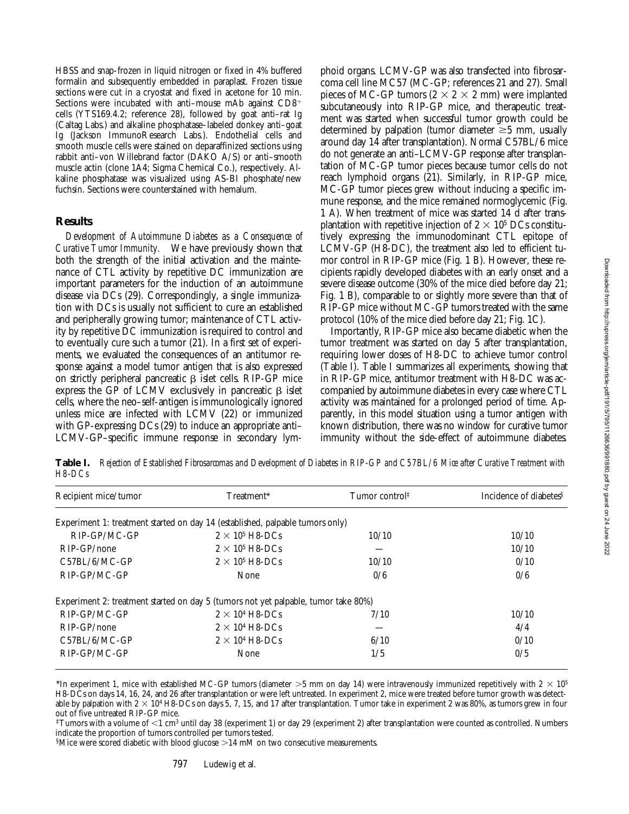HBSS and snap-frozen in liquid nitrogen or fixed in 4% buffered formalin and subsequently embedded in paraplast. Frozen tissue sections were cut in a cryostat and fixed in acetone for 10 min. Sections were incubated with anti-mouse mAb against  $CD8<sup>+</sup>$ cells (YTS169.4.2; reference 28), followed by goat anti–rat Ig (Caltag Labs.) and alkaline phosphatase–labeled donkey anti–goat Ig (Jackson ImmunoResearch Labs.). Endothelial cells and smooth muscle cells were stained on deparaffinized sections using rabbit anti–von Willebrand factor (DAKO A/S) or anti–smooth muscle actin (clone 1A4; Sigma Chemical Co.), respectively. Alkaline phosphatase was visualized using AS-BI phosphate/new fuchsin. Sections were counterstained with hemalum.

#### **Results**

*Development of Autoimmune Diabetes as a Consequence of Curative Tumor Immunity.* We have previously shown that both the strength of the initial activation and the maintenance of CTL activity by repetitive DC immunization are important parameters for the induction of an autoimmune disease via DCs (29). Correspondingly, a single immunization with DCs is usually not sufficient to cure an established and peripherally growing tumor; maintenance of CTL activity by repetitive DC immunization is required to control and to eventually cure such a tumor (21). In a first set of experiments, we evaluated the consequences of an antitumor response against a model tumor antigen that is also expressed on strictly peripheral pancreatic  $\beta$  islet cells. RIP-GP mice express the GP of LCMV exclusively in pancreatic  $\beta$  islet cells, where the neo–self-antigen is immunologically ignored unless mice are infected with LCMV (22) or immunized with GP-expressing DCs (29) to induce an appropriate anti– LCMV-GP–specific immune response in secondary lym-

phoid organs. LCMV-GP was also transfected into fibrosarcoma cell line MC57 (MC-GP; references 21 and 27). Small pieces of MC-GP tumors ( $2 \times 2 \times 2$  mm) were implanted subcutaneously into RIP-GP mice, and therapeutic treatment was started when successful tumor growth could be determined by palpation (tumor diameter  $\geq$  5 mm, usually around day 14 after transplantation). Normal C57BL/6 mice do not generate an anti–LCMV-GP response after transplantation of MC-GP tumor pieces because tumor cells do not reach lymphoid organs (21). Similarly, in RIP-GP mice, MC-GP tumor pieces grew without inducing a specific immune response, and the mice remained normoglycemic (Fig. 1 A). When treatment of mice was started 14 d after transplantation with repetitive injection of  $2 \times 10^5$  DCs constitutively expressing the immunodominant CTL epitope of LCMV-GP (H8-DC), the treatment also led to efficient tumor control in RIP-GP mice (Fig. 1 B). However, these recipients rapidly developed diabetes with an early onset and a severe disease outcome (30% of the mice died before day 21; Fig. 1 B), comparable to or slightly more severe than that of RIP-GP mice without MC-GP tumors treated with the same protocol (10% of the mice died before day 21; Fig. 1C).

Importantly, RIP-GP mice also became diabetic when the tumor treatment was started on day 5 after transplantation, requiring lower doses of H8-DC to achieve tumor control (Table I). Table I summarizes all experiments, showing that in RIP-GP mice, antitumor treatment with H8-DC was accompanied by autoimmune diabetes in every case where CTL activity was maintained for a prolonged period of time. Apparently, in this model situation using a tumor antigen with known distribution, there was no window for curative tumor immunity without the side-effect of autoimmune diabetes.

**Table I.** *Rejection of Established Fibrosarcomas and Development of Diabetes in RIP-GP and C57BL/6 Mice after Curative Treatment with H8-DCs*

| Recipient mice/tumor | Treatment*                                                                         | Tumor control <sup>‡</sup> | Incidence of diabetes <sup>§</sup> |
|----------------------|------------------------------------------------------------------------------------|----------------------------|------------------------------------|
|                      | Experiment 1: treatment started on day 14 (established, palpable tumors only)      |                            |                                    |
| $RIP-GP/MC-GP$       | $2 \times 10^5$ H8-DCs                                                             | 10/10                      | 10/10                              |
| $RIP-GP/none$        | $2 \times 10^5$ H8-DCs                                                             |                            | 10/10                              |
| $C57BL/6/MC$ -GP     | $2 \times 10^5$ H8-DCs                                                             | 10/10                      | 0/10                               |
| RIP-GP/MC-GP         | None                                                                               | 0/6                        | 0/6                                |
|                      | Experiment 2: treatment started on day 5 (tumors not yet palpable, tumor take 80%) |                            |                                    |
| $RIP-GP/MC-GP$       | $2 \times 10^4$ H8-DCs                                                             | 7/10                       | 10/10                              |
| $RIP-GP/none$        | $2 \times 10^4$ H8-DCs                                                             |                            | 4/4                                |
| $C57BL/6/MC$ -GP     | $2 \times 10^4$ H8-DCs                                                             | 6/10                       | 0/10                               |
| RIP-GP/MC-GP         | None                                                                               | 1/5                        | 0/5                                |

\*In experiment 1, mice with established MC-GP tumors (diameter  $>5$  mm on day 14) were intravenously immunized repetitively with  $2 \times 10^5$ H8-DCs on days 14, 16, 24, and 26 after transplantation or were left untreated. In experiment 2, mice were treated before tumor growth was detectable by palpation with  $2 \times 10^4$  H8-DCs on days 5, 7, 15, and 17 after transplantation. Tumor take in experiment 2 was 80%, as tumors grew in four out of five untreated RIP-GP mice.

 $\ddagger$ Tumors with a volume of <1 cm<sup>3</sup> until day 38 (experiment 1) or day 29 (experiment 2) after transplantation were counted as controlled. Numbers indicate the proportion of tumors controlled per tumors tested.

 $\delta$ Mice were scored diabetic with blood glucose  $>14$  mM on two consecutive measurements.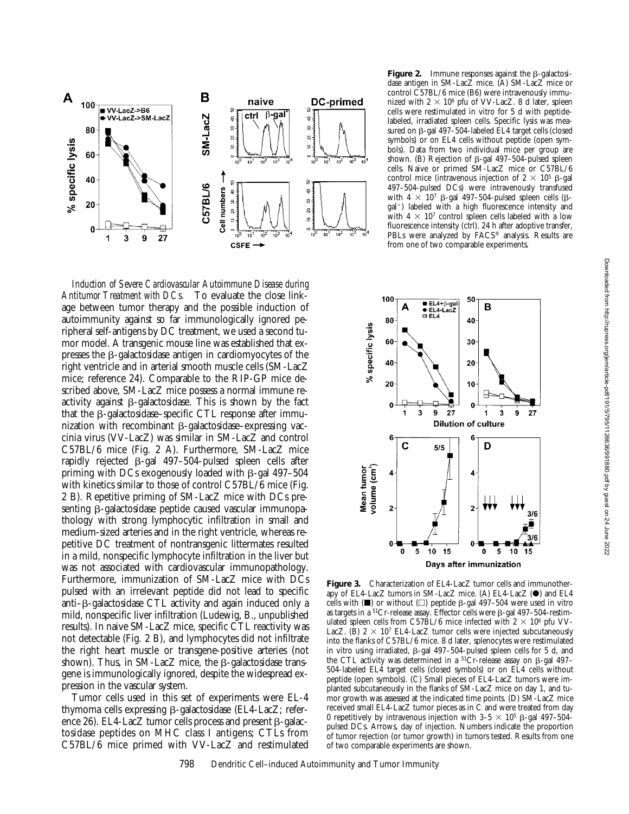

*Induction of Severe Cardiovascular Autoimmune Disease during Antitumor Treatment with DCs.* To evaluate the close linkage between tumor therapy and the possible induction of autoimmunity against so far immunologically ignored peripheral self-antigens by DC treatment, we used a second tumor model. A transgenic mouse line was established that expresses the  $\beta$ -galactosidase antigen in cardiomyocytes of the right ventricle and in arterial smooth muscle cells (SM-LacZ mice; reference 24). Comparable to the RIP-GP mice described above, SM-LacZ mice possess a normal immune reactivity against  $\beta$ -galactosidase. This is shown by the fact that the  $\beta$ -galactosidase–specific CTL response after immunization with recombinant  $\beta$ -galactosidase–expressing vaccinia virus (VV-LacZ) was similar in SM-LacZ and control C57BL/6 mice (Fig. 2 A). Furthermore, SM-LacZ mice rapidly rejected b-gal 497–504-pulsed spleen cells after priming with DCs exogenously loaded with  $\beta$ -gal 497–504 with kinetics similar to those of control C57BL/6 mice (Fig. 2 B). Repetitive priming of SM-LacZ mice with DCs presenting  $\beta$ -galactosidase peptide caused vascular immunopathology with strong lymphocytic infiltration in small and medium-sized arteries and in the right ventricle, whereas repetitive DC treatment of nontransgenic littermates resulted in a mild, nonspecific lymphocyte infiltration in the liver but was not associated with cardiovascular immunopathology. Furthermore, immunization of SM-LacZ mice with DCs pulsed with an irrelevant peptide did not lead to specific anti- $\beta$ -galactosidase CTL activity and again induced only a mild, nonspecific liver infiltration (Ludewig, B., unpublished results). In naive SM-LacZ mice, specific CTL reactivity was not detectable (Fig. 2 B), and lymphocytes did not infiltrate the right heart muscle or transgene-positive arteries (not shown). Thus, in  $SM\text{-}LacZ$  mice, the  $\beta$ -galactosidase transgene is immunologically ignored, despite the widespread expression in the vascular system.

Tumor cells used in this set of experiments were EL-4 thymoma cells expressing  $\beta$ -galactosidase (EL4-LacZ; reference 26). EL4-LacZ tumor cells process and present  $\beta$ -galactosidase peptides on MHC class I antigens; CTLs from C57BL/6 mice primed with VV-LacZ and restimulated **Figure 2.** Immune responses against the  $\beta$ -galactosidase antigen in SM-LacZ mice. (A) SM-LacZ mice or control  $\check{C}$ 57BL/6 mice (B6) were intravenously immunized with  $2 \times 10^6$  pfu of VV-LacZ. 8 d later, spleen cells were restimulated in vitro for 5 d with peptidelabeled, irradiated spleen cells. Specific lysis was measured on β-gal 497-504-labeled EL4 target cells (closed symbols) or on EL4 cells without peptide (open symbols). Data from two individual mice per group are shown. (B) Rejection of  $\beta$ -gal 497–504-pulsed spleen cells. Naive or primed SM-LacZ mice or C57BL/6 control mice (intravenous injection of  $2 \times 10^5$   $\beta$ -gal 497–504-pulsed DCs) were intravenously transfused with  $4 \times 10^7$   $\beta$ -gal 497–504-pulsed spleen cells ( $\beta$ gal<sup>+</sup>) labeled with a high fluorescence intensity and with  $4 \times 10^7$  control spleen cells labeled with a low fluorescence intensity (ctrl). 24 h after adoptive transfer, PBLs were analyzed by FACS® analysis. Results are from one of two comparable experiments.



**Figure 3.** Characterization of EL4-LacZ tumor cells and immunotherapy of EL4-LacZ tumors in SM-LacZ mice. (A) EL4-LacZ  $(\bullet)$  and EL4 cells with  $(\blacksquare)$  or without  $(\square)$  peptide  $\beta$ -gal 497–504 were used in vitro as targets in a  $51Cr$ -release assay. Effector cells were  $\beta$ -gal 497–504-restimulated spleen cells from C57BL/6 mice infected with  $2 \times 10^6$  pfu VV-LacZ. (B)  $2 \times 10^7$  EL4-LacZ tumor cells were injected subcutaneously into the flanks of C57BL/6 mice. 8 d later, splenocytes were restimulated in vitro using irradiated,  $\beta$ -gal 497–504-pulsed spleen cells for 5 d, and the CTL activity was determined in a  $51^{\circ}$ Cr-release assay on  $\beta$ -gal 497– 504-labeled EL4 target cells (closed symbols) or on EL4 cells without peptide (open symbols). (C) Small pieces of EL4-LacZ tumors were implanted subcutaneously in the flanks of SM-LacZ mice on day 1, and tumor growth was assessed at the indicated time points. (D) SM-LacZ mice received small EL4-LacZ tumor pieces as in C and were treated from day 0 repetitively by intravenous injection with  $3-5 \times 10^5$  ß-gal 497-504pulsed DCs. Arrows, day of injection. Numbers indicate the proportion of tumor rejection (or tumor growth) in tumors tested. Results from one of two comparable experiments are shown.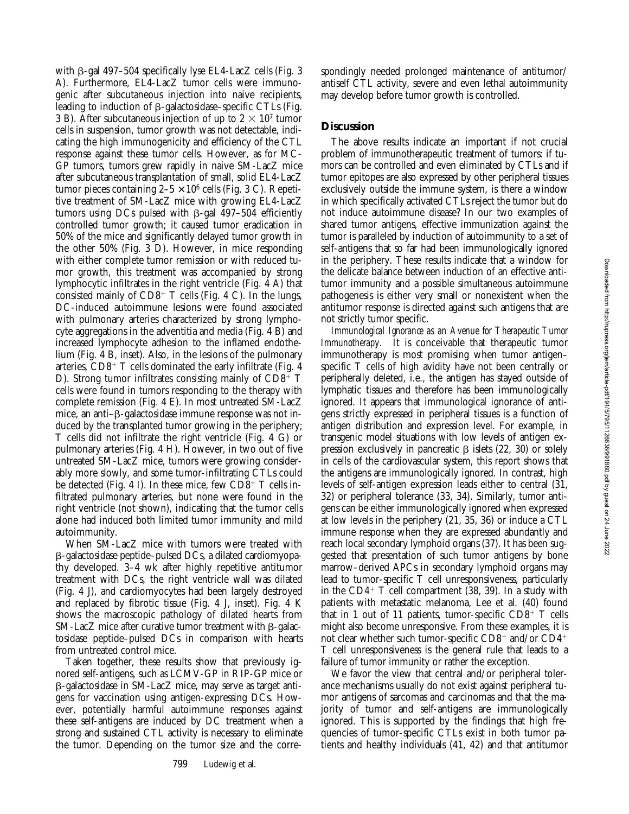with  $\beta$ -gal 497–504 specifically lyse EL4-LacZ cells (Fig. 3) A). Furthermore, EL4-LacZ tumor cells were immunogenic after subcutaneous injection into naive recipients, leading to induction of  $\beta$ -galactosidase–specific CTLs (Fig. 3 B). After subcutaneous injection of up to  $2 \times 10^7$  tumor cells in suspension, tumor growth was not detectable, indicating the high immunogenicity and efficiency of the CTL response against these tumor cells. However, as for MC-GP tumors, tumors grew rapidly in naive SM-LacZ mice after subcutaneous transplantation of small, solid EL4-LacZ tumor pieces containing  $2-5 \times 10^6$  cells (Fig. 3 C). Repetitive treatment of SM-LacZ mice with growing EL4-LacZ tumors using DCs pulsed with  $\beta$ -gal 497–504 efficiently controlled tumor growth; it caused tumor eradication in 50% of the mice and significantly delayed tumor growth in the other 50% (Fig. 3 D). However, in mice responding with either complete tumor remission or with reduced tumor growth, this treatment was accompanied by strong lymphocytic infiltrates in the right ventricle (Fig. 4 A) that consisted mainly of  $CD8^+$  T cells (Fig. 4 C). In the lungs, DC-induced autoimmune lesions were found associated with pulmonary arteries characterized by strong lymphocyte aggregations in the adventitia and media (Fig. 4 B) and increased lymphocyte adhesion to the inflamed endothelium (Fig. 4 B, inset). Also, in the lesions of the pulmonary arteries,  $CD8^+$  T cells dominated the early infiltrate (Fig. 4) D). Strong tumor infiltrates consisting mainly of  $CD8^+$  T cells were found in tumors responding to the therapy with complete remission (Fig. 4 E). In most untreated SM-LacZ mice, an anti– $\beta$ -galactosidase immune response was not induced by the transplanted tumor growing in the periphery; T cells did not infiltrate the right ventricle (Fig. 4 G) or pulmonary arteries (Fig. 4 H). However, in two out of five untreated SM-LacZ mice, tumors were growing considerably more slowly, and some tumor-infiltrating CTLs could be detected (Fig. 4 I). In these mice, few  $CD8^+$  T cells infiltrated pulmonary arteries, but none were found in the right ventricle (not shown), indicating that the tumor cells alone had induced both limited tumor immunity and mild autoimmunity.

When SM-LacZ mice with tumors were treated with b-galactosidase peptide–pulsed DCs, a dilated cardiomyopathy developed. 3–4 wk after highly repetitive antitumor treatment with DCs, the right ventricle wall was dilated (Fig. 4 J), and cardiomyocytes had been largely destroyed and replaced by fibrotic tissue (Fig. 4 J, inset). Fig. 4 K shows the macroscopic pathology of dilated hearts from  $SM$ -Lac $Z$  mice after curative tumor treatment with  $\beta$ -galactosidase peptide–pulsed DCs in comparison with hearts from untreated control mice.

Taken together, these results show that previously ignored self-antigens, such as LCMV-GP in RIP-GP mice or b-galactosidase in SM-LacZ mice, may serve as target antigens for vaccination using antigen-expressing DCs. However, potentially harmful autoimmune responses against these self-antigens are induced by DC treatment when a strong and sustained CTL activity is necessary to eliminate the tumor. Depending on the tumor size and the correspondingly needed prolonged maintenance of antitumor/ antiself CTL activity, severe and even lethal autoimmunity may develop before tumor growth is controlled.

### **Discussion**

The above results indicate an important if not crucial problem of immunotherapeutic treatment of tumors: if tumors can be controlled and even eliminated by CTLs and if tumor epitopes are also expressed by other peripheral tissues exclusively outside the immune system, is there a window in which specifically activated CTLs reject the tumor but do not induce autoimmune disease? In our two examples of shared tumor antigens, effective immunization against the tumor is paralleled by induction of autoimmunity to a set of self-antigens that so far had been immunologically ignored in the periphery. These results indicate that a window for the delicate balance between induction of an effective antitumor immunity and a possible simultaneous autoimmune pathogenesis is either very small or nonexistent when the antitumor response is directed against such antigens that are not strictly tumor specific.

*Immunological Ignorance as an Avenue for Therapeutic Tumor Immunotherapy.* It is conceivable that therapeutic tumor immunotherapy is most promising when tumor antigen– specific T cells of high avidity have not been centrally or peripherally deleted, i.e., the antigen has stayed outside of lymphatic tissues and therefore has been immunologically ignored. It appears that immunological ignorance of antigens strictly expressed in peripheral tissues is a function of antigen distribution and expression level. For example, in transgenic model situations with low levels of antigen expression exclusively in pancreatic  $\beta$  islets (22, 30) or solely in cells of the cardiovascular system, this report shows that the antigens are immunologically ignored. In contrast, high levels of self-antigen expression leads either to central (31, 32) or peripheral tolerance (33, 34). Similarly, tumor antigens can be either immunologically ignored when expressed at low levels in the periphery (21, 35, 36) or induce a CTL immune response when they are expressed abundantly and reach local secondary lymphoid organs (37). It has been suggested that presentation of such tumor antigens by bone marrow–derived APCs in secondary lymphoid organs may lead to tumor-specific T cell unresponsiveness, particularly in the  $CD4^+$  T cell compartment (38, 39). In a study with patients with metastatic melanoma, Lee et al. (40) found that in 1 out of 11 patients, tumor-specific  $CD8^+$  T cells might also become unresponsive. From these examples, it is not clear whether such tumor-specific CD8<sup>+</sup> and/or CD4<sup>+</sup> T cell unresponsiveness is the general rule that leads to a failure of tumor immunity or rather the exception.

We favor the view that central and/or peripheral tolerance mechanisms usually do not exist against peripheral tumor antigens of sarcomas and carcinomas and that the majority of tumor and self-antigens are immunologically ignored. This is supported by the findings that high frequencies of tumor-specific CTLs exist in both tumor patients and healthy individuals (41, 42) and that antitumor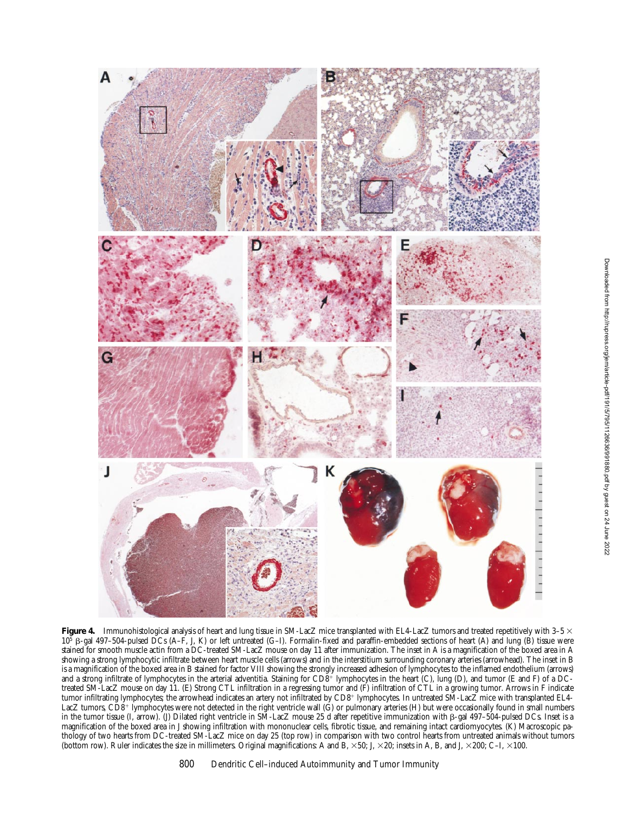

**Figure 4.** Immunohistological analysis of heart and lung tissue in SM-LacZ mice transplanted with EL4-LacZ tumors and treated repetitively with  $3-5 \times$  $10^5$  B-gal 497–504-pulsed DCs (A–F, J, K) or left untreated (G–I). Formalin-fixed and paraffin-embedded sections of heart (A) and lung (B) tissue were stained for smooth muscle actin from a DC-treated SM-LacZ mouse on day 11 after immunization. The inset in A is a magnification of the boxed area in A showing a strong lymphocytic infiltrate between heart muscle cells (arrows) and in the interstitium surrounding coronary arteries (arrowhead). The inset in B is a magnification of the boxed area in B stained for factor VIII showing the strongly increased adhesion of lymphocytes to the inflamed endothelium (arrows) and a strong infiltrate of lymphocytes in the arterial adventitia. Staining for  $CD8^+$  lymphocytes in the heart (C), lung (D), and tumor (E and F) of a DCtreated SM-LacZ mouse on day 11. (E) Strong CTL infiltration in a regressing tumor and (F) infiltration of CTL in a growing tumor. Arrows in F indicate tumor infiltrating lymphocytes; the arrowhead indicates an artery not infiltrated by CD8+ lymphocytes. In untreated SM-LacZ mice with transplanted EL4-LacZ tumors, CD8<sup>+</sup> lymphocytes were not detected in the right ventricle wall (G) or pulmonary arteries (H) but were occasionally found in small numbers in the tumor tissue (I, arrow). (J) Dilated right ventricle in SM-LacZ mouse 25 d after repetitive immunization with  $\beta$ -gal 497-504-pulsed DCs. Inset is a magnification of the boxed area in J showing infiltration with mononuclear cells, fibrotic tissue, and remaining intact cardiomyocytes. (K) Macroscopic pathology of two hearts from DC-treated SM-LacZ mice on day 25 (top row) in comparison with two control hearts from untreated animals without tumors (bottom row). Ruler indicates the size in millimeters. Original magnifications: A and B,  $\times 50$ ; J,  $\times 20$ ; insets in A, B, and J,  $\times 200$ ; C–I,  $\times 100$ .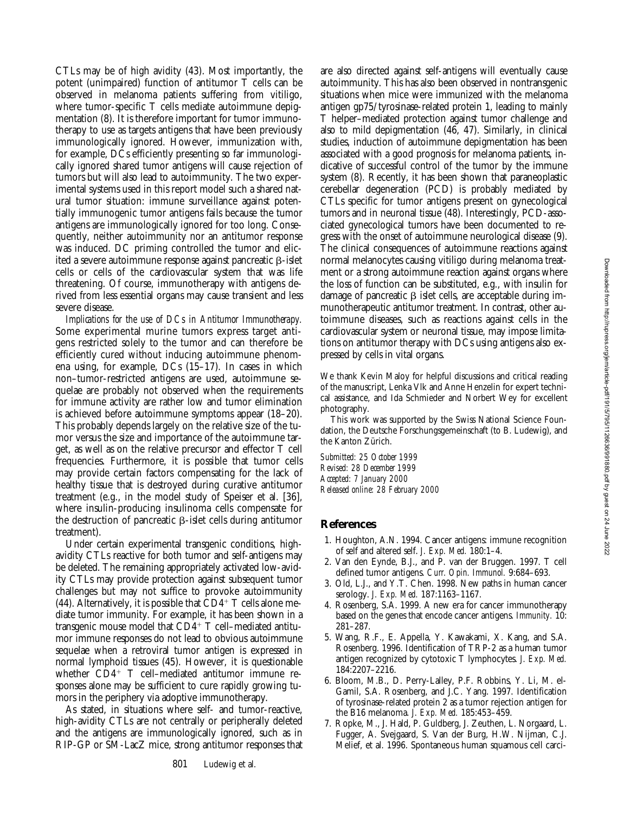CTLs may be of high avidity (43). Most importantly, the potent (unimpaired) function of antitumor T cells can be observed in melanoma patients suffering from vitiligo, where tumor-specific T cells mediate autoimmune depigmentation (8). It is therefore important for tumor immunotherapy to use as targets antigens that have been previously immunologically ignored. However, immunization with, for example, DCs efficiently presenting so far immunologically ignored shared tumor antigens will cause rejection of tumors but will also lead to autoimmunity. The two experimental systems used in this report model such a shared natural tumor situation: immune surveillance against potentially immunogenic tumor antigens fails because the tumor antigens are immunologically ignored for too long. Consequently, neither autoimmunity nor an antitumor response was induced. DC priming controlled the tumor and elicited a severe autoimmune response against pancreatic  $\beta$ -islet cells or cells of the cardiovascular system that was life threatening. Of course, immunotherapy with antigens derived from less essential organs may cause transient and less severe disease.

*Implications for the use of DCs in Antitumor Immunotherapy.* Some experimental murine tumors express target antigens restricted solely to the tumor and can therefore be efficiently cured without inducing autoimmune phenomena using, for example, DCs (15–17). In cases in which non–tumor-restricted antigens are used, autoimmune sequelae are probably not observed when the requirements for immune activity are rather low and tumor elimination is achieved before autoimmune symptoms appear (18–20). This probably depends largely on the relative size of the tumor versus the size and importance of the autoimmune target, as well as on the relative precursor and effector T cell frequencies. Furthermore, it is possible that tumor cells may provide certain factors compensating for the lack of healthy tissue that is destroyed during curative antitumor treatment (e.g., in the model study of Speiser et al. [36], where insulin-producing insulinoma cells compensate for the destruction of pancreatic  $\beta$ -islet cells during antitumor treatment).

Under certain experimental transgenic conditions, highavidity CTLs reactive for both tumor and self-antigens may be deleted. The remaining appropriately activated low-avidity CTLs may provide protection against subsequent tumor challenges but may not suffice to provoke autoimmunity (44). Alternatively, it is possible that  $CD4^+$  T cells alone mediate tumor immunity. For example, it has been shown in a transgenic mouse model that  $CD4^+$  T cell–mediated antitumor immune responses do not lead to obvious autoimmune sequelae when a retroviral tumor antigen is expressed in normal lymphoid tissues (45). However, it is questionable whether  $CD4^+$  T cell-mediated antitumor immune responses alone may be sufficient to cure rapidly growing tumors in the periphery via adoptive immunotherapy.

As stated, in situations where self- and tumor-reactive, high-avidity CTLs are not centrally or peripherally deleted and the antigens are immunologically ignored, such as in RIP-GP or SM-LacZ mice, strong antitumor responses that are also directed against self-antigens will eventually cause autoimmunity. This has also been observed in nontransgenic situations when mice were immunized with the melanoma antigen gp75/tyrosinase-related protein 1, leading to mainly T helper–mediated protection against tumor challenge and also to mild depigmentation (46, 47). Similarly, in clinical studies, induction of autoimmune depigmentation has been associated with a good prognosis for melanoma patients, indicative of successful control of the tumor by the immune system (8). Recently, it has been shown that paraneoplastic cerebellar degeneration (PCD) is probably mediated by CTLs specific for tumor antigens present on gynecological tumors and in neuronal tissue (48). Interestingly, PCD-associated gynecological tumors have been documented to regress with the onset of autoimmune neurological disease (9). The clinical consequences of autoimmune reactions against normal melanocytes causing vitiligo during melanoma treatment or a strong autoimmune reaction against organs where the loss of function can be substituted, e.g., with insulin for damage of pancreatic  $\beta$  islet cells, are acceptable during immunotherapeutic antitumor treatment. In contrast, other autoimmune diseases, such as reactions against cells in the cardiovascular system or neuronal tissue, may impose limitations on antitumor therapy with DCs using antigens also expressed by cells in vital organs.

We thank Kevin Maloy for helpful discussions and critical reading of the manuscript, Lenka Vlk and Anne Henzelin for expert technical assistance, and Ida Schmieder and Norbert Wey for excellent photography.

This work was supported by the Swiss National Science Foundation, the Deutsche Forschungsgemeinschaft (to B. Ludewig), and the Kanton Zürich.

*Submitted: 25 October 1999 Revised: 28 December 1999 Accepted: 7 January 2000 Released online: 28 February 2000*

## **References**

- 1. Houghton, A.N. 1994. Cancer antigens: immune recognition of self and altered self. *J. Exp. Med.* 180:1–4.
- 2. Van den Eynde, B.J., and P. van der Bruggen. 1997. T cell defined tumor antigens. *Curr. Opin. Immunol.* 9:684–693.
- 3. Old, L.J., and Y.T. Chen. 1998. New paths in human cancer serology. *J. Exp. Med.* 187:1163–1167.
- 4. Rosenberg, S.A. 1999. A new era for cancer immunotherapy based on the genes that encode cancer antigens. *Immunity.* 10: 281–287.
- 5. Wang, R.F., E. Appella, Y. Kawakami, X. Kang, and S.A. Rosenberg. 1996. Identification of TRP-2 as a human tumor antigen recognized by cytotoxic T lymphocytes. *J. Exp. Med.* 184:2207–2216.
- 6. Bloom, M.B., D. Perry-Lalley, P.F. Robbins, Y. Li, M. el-Gamil, S.A. Rosenberg, and J.C. Yang. 1997. Identification of tyrosinase-related protein 2 as a tumor rejection antigen for the B16 melanoma. *J. Exp. Med.* 185:453–459.
- 7. Ropke, M., J. Hald, P. Guldberg, J. Zeuthen, L. Norgaard, L. Fugger, A. Svejgaard, S. Van der Burg, H.W. Nijman, C.J. Melief, et al. 1996. Spontaneous human squamous cell carci-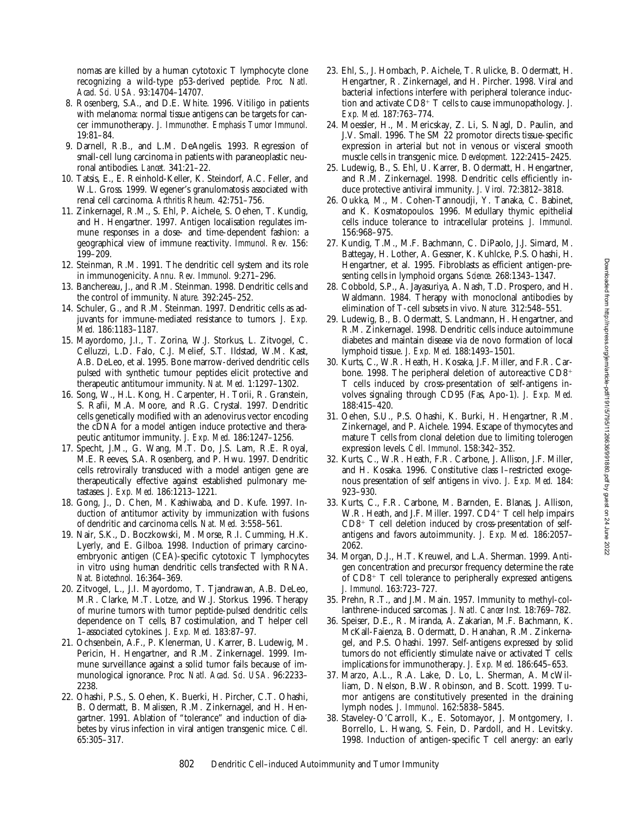nomas are killed by a human cytotoxic T lymphocyte clone recognizing a wild-type p53-derived peptide. *Proc. Natl. Acad. Sci. USA.* 93:14704–14707.

- 8. Rosenberg, S.A., and D.E. White. 1996. Vitiligo in patients with melanoma: normal tissue antigens can be targets for cancer immunotherapy. *J. Immunother. Emphasis Tumor Immunol.* 19:81–84.
- 9. Darnell, R.B., and L.M. DeAngelis. 1993. Regression of small-cell lung carcinoma in patients with paraneoplastic neuronal antibodies. *Lancet.* 341:21–22.
- 10. Tatsis, E., E. Reinhold-Keller, K. Steindorf, A.C. Feller, and W.L. Gross. 1999. Wegener's granulomatosis associated with renal cell carcinoma. *Arthritis Rheum.* 42:751–756.
- 11. Zinkernagel, R.M., S. Ehl, P. Aichele, S. Oehen, T. Kundig, and H. Hengartner. 1997. Antigen localisation regulates immune responses in a dose- and time-dependent fashion: a geographical view of immune reactivity. *Immunol. Rev.* 156: 199–209.
- 12. Steinman, R.M. 1991. The dendritic cell system and its role in immunogenicity. *Annu. Rev. Immunol.* 9:271–296.
- 13. Banchereau, J., and R.M. Steinman. 1998. Dendritic cells and the control of immunity. *Nature.* 392:245–252.
- 14. Schuler, G., and R.M. Steinman. 1997. Dendritic cells as adjuvants for immune-mediated resistance to tumors. *J. Exp. Med.* 186:1183–1187.
- 15. Mayordomo, J.I., T. Zorina, W.J. Storkus, L. Zitvogel, C. Celluzzi, L.D. Falo, C.J. Melief, S.T. Ildstad, W.M. Kast, A.B. DeLeo, et al. 1995. Bone marrow-derived dendritic cells pulsed with synthetic tumour peptides elicit protective and therapeutic antitumour immunity. *Nat. Med.* 1:1297–1302.
- 16. Song, W., H.L. Kong, H. Carpenter, H. Torii, R. Granstein, S. Rafii, M.A. Moore, and R.G. Crystal. 1997. Dendritic cells genetically modified with an adenovirus vector encoding the cDNA for a model antigen induce protective and therapeutic antitumor immunity. *J. Exp. Med.* 186:1247–1256.
- 17. Specht, J.M., G. Wang, M.T. Do, J.S. Lam, R.E. Royal, M.E. Reeves, S.A. Rosenberg, and P. Hwu. 1997. Dendritic cells retrovirally transduced with a model antigen gene are therapeutically effective against established pulmonary metastases. *J. Exp. Med.* 186:1213–1221.
- 18. Gong, J., D. Chen, M. Kashiwaba, and D. Kufe. 1997. Induction of antitumor activity by immunization with fusions of dendritic and carcinoma cells. *Nat. Med.* 3:558–561.
- 19. Nair, S.K., D. Boczkowski, M. Morse, R.I. Cumming, H.K. Lyerly, and E. Gilboa. 1998. Induction of primary carcinoembryonic antigen (CEA)-specific cytotoxic T lymphocytes in vitro using human dendritic cells transfected with RNA. *Nat. Biotechnol.* 16:364–369.
- 20. Zitvogel, L., J.I. Mayordomo, T. Tjandrawan, A.B. DeLeo, M.R. Clarke, M.T. Lotze, and W.J. Storkus. 1996. Therapy of murine tumors with tumor peptide-pulsed dendritic cells: dependence on T cells, B7 costimulation, and T helper cell 1–associated cytokines. *J. Exp. Med.* 183:87–97.
- 21. Ochsenbein, A.F., P. Klenerman, U. Karrer, B. Ludewig, M. Pericin, H. Hengartner, and R.M. Zinkernagel. 1999. Immune surveillance against a solid tumor fails because of immunological ignorance. *Proc. Natl. Acad. Sci. USA.* 96:2233– 2238.
- 22. Ohashi, P.S., S. Oehen, K. Buerki, H. Pircher, C.T. Ohashi, B. Odermatt, B. Malissen, R.M. Zinkernagel, and H. Hengartner. 1991. Ablation of "tolerance" and induction of diabetes by virus infection in viral antigen transgenic mice. *Cell.* 65:305–317.
- 23. Ehl, S., J. Hombach, P. Aichele, T. Rulicke, B. Odermatt, H. Hengartner, R. Zinkernagel, and H. Pircher. 1998. Viral and bacterial infections interfere with peripheral tolerance induction and activate CD8<sup>+</sup> T cells to cause immunopathology. *J. Exp. Med.* 187:763–774.
- 24. Moessler, H., M. Mericskay, Z. Li, S. Nagl, D. Paulin, and J.V. Small. 1996. The SM 22 promotor directs tissue-specific expression in arterial but not in venous or visceral smooth muscle cells in transgenic mice. *Development.* 122:2415–2425.
- 25. Ludewig, B., S. Ehl, U. Karrer, B. Odermatt, H. Hengartner, and R.M. Zinkernagel. 1998. Dendritic cells efficiently induce protective antiviral immunity. *J. Virol.* 72:3812–3818.
- 26. Oukka, M., M. Cohen-Tannoudji, Y. Tanaka, C. Babinet, and K. Kosmatopoulos. 1996. Medullary thymic epithelial cells induce tolerance to intracellular proteins. *J. Immunol.* 156:968–975.
- 27. Kundig, T.M., M.F. Bachmann, C. DiPaolo, J.J. Simard, M. Battegay, H. Lother, A. Gessner, K. Kuhlcke, P.S. Ohashi, H. Hengartner, et al. 1995. Fibroblasts as efficient antigen-presenting cells in lymphoid organs. *Science.* 268:1343–1347.
- 28. Cobbold, S.P., A. Jayasuriya, A. Nash, T.D. Prospero, and H. Waldmann. 1984. Therapy with monoclonal antibodies by elimination of T-cell subsets in vivo. *Nature.* 312:548–551.
- 29. Ludewig, B., B. Odermatt, S. Landmann, H. Hengartner, and R.M. Zinkernagel. 1998. Dendritic cells induce autoimmune diabetes and maintain disease via de novo formation of local lymphoid tissue. *J. Exp. Med.* 188:1493–1501.
- 30. Kurts, C., W.R. Heath, H. Kosaka, J.F. Miller, and F.R. Carbone. 1998. The peripheral deletion of autoreactive CD8<sup>+</sup> T cells induced by cross-presentation of self-antigens involves signaling through CD95 (Fas, Apo-1). *J. Exp. Med.* 188:415–420.
- 31. Oehen, S.U., P.S. Ohashi, K. Burki, H. Hengartner, R.M. Zinkernagel, and P. Aichele. 1994. Escape of thymocytes and mature T cells from clonal deletion due to limiting tolerogen expression levels. *Cell. Immunol*. 158:342–352.
- 32. Kurts, C., W.R. Heath, F.R. Carbone, J. Allison, J.F. Miller, and H. Kosaka. 1996. Constitutive class I–restricted exogenous presentation of self antigens in vivo. *J. Exp. Med.* 184: 923–930.
- 33. Kurts, C., F.R. Carbone, M. Barnden, E. Blanas, J. Allison, W.R. Heath, and J.F. Miller. 1997.  $CD4+T$  cell help impairs  $CD8^+$  T cell deletion induced by cross-presentation of selfantigens and favors autoimmunity. *J. Exp. Med.* 186:2057– 2062.
- 34. Morgan, D.J., H.T. Kreuwel, and L.A. Sherman. 1999. Antigen concentration and precursor frequency determine the rate of  $CD8^+$  T cell tolerance to peripherally expressed antigens. *J. Immunol.* 163:723–727.
- 35. Prehn, R.T., and J.M. Main. 1957. Immunity to methyl-collanthrene-induced sarcomas. *J. Natl. Cancer Inst.* 18:769–782.
- 36. Speiser, D.E., R. Miranda, A. Zakarian, M.F. Bachmann, K. McKall-Faienza, B. Odermatt, D. Hanahan, R.M. Zinkernagel, and P.S. Ohashi. 1997. Self-antigens expressed by solid tumors do not efficiently stimulate naive or activated T cells: implications for immunotherapy. *J. Exp. Med.* 186:645–653.
- 37. Marzo, A.L., R.A. Lake, D. Lo, L. Sherman, A. McWilliam, D. Nelson, B.W. Robinson, and B. Scott. 1999. Tumor antigens are constitutively presented in the draining lymph nodes. *J. Immunol.* 162:5838–5845.
- 38. Staveley-O'Carroll, K., E. Sotomayor, J. Montgomery, I. Borrello, L. Hwang, S. Fein, D. Pardoll, and H. Levitsky. 1998. Induction of antigen-specific T cell anergy: an early